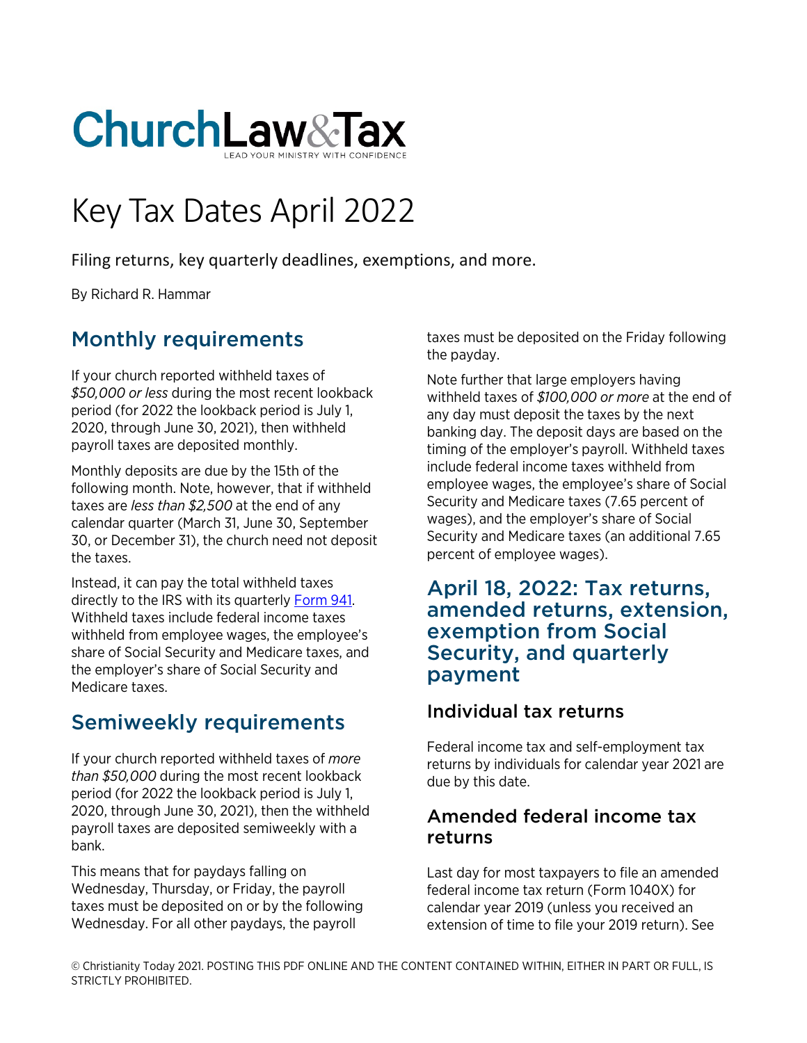

# Key Tax Dates April 2022

Filing returns, key quarterly deadlines, exemptions, and more.

By Richard R. Hammar

## Monthly requirements

If your church reported withheld taxes of *\$50,000 or less* during the most recent lookback period (for 2022 the lookback period is July 1, 2020, through June 30, 2021), then withheld payroll taxes are deposited monthly.

Monthly deposits are due by the 15th of the following month. Note, however, that if withheld taxes are *less than \$2,500* at the end of any calendar quarter (March 31, June 30, September 30, or December 31), the church need not deposit the taxes.

Instead, it can pay the total withheld taxes directly to the IRS with its quarterly [Form 941.](https://www.churchlawandtax.com/cltr/1992/september-october/form-941.html) Withheld taxes include federal income taxes withheld from employee wages, the employee's share of Social Security and Medicare taxes, and the employer's share of Social Security and Medicare taxes.

## Semiweekly requirements

If your church reported withheld taxes of *more than \$50,000* during the most recent lookback period (for 2022 the lookback period is July 1, 2020, through June 30, 2021), then the withheld payroll taxes are deposited semiweekly with a bank.

This means that for paydays falling on Wednesday, Thursday, or Friday, the payroll taxes must be deposited on or by the following Wednesday. For all other paydays, the payroll

taxes must be deposited on the Friday following the payday.

Note further that large employers having withheld taxes of *\$100,000 or more* at the end of any day must deposit the taxes by the next banking day. The deposit days are based on the timing of the employer's payroll. Withheld taxes include federal income taxes withheld from employee wages, the employee's share of Social Security and Medicare taxes (7.65 percent of wages), and the employer's share of Social Security and Medicare taxes (an additional 7.65 percent of employee wages).

#### April 18, 2022: Tax returns, amended returns, extension, exemption from Social Security, and quarterly payment

### Individual tax returns

Federal income tax and self-employment tax returns by individuals for calendar year 2021 are due by this date.

#### Amended federal income tax returns

Last day for most taxpayers to file an amended federal income tax return (Form 1040X) for calendar year 2019 (unless you received an extension of time to file your 2019 return). See

© Christianity Today 2021. POSTING THIS PDF ONLINE AND THE CONTENT CONTAINED WITHIN, EITHER IN PART OR FULL, IS STRICTLY PROHIBITED.